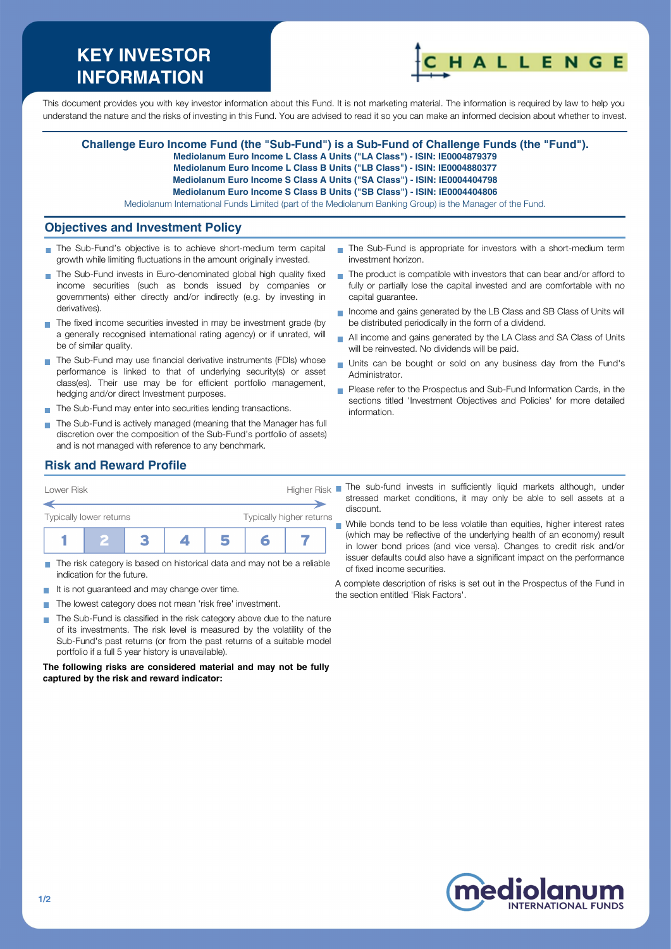# **KEY INVESTOR INFORMATION**



This document provides you with key investor information about this Fund. It is not marketing material. The information is required by law to help you understand the nature and the risks of investing in this Fund. You are advised to read it so you can make an informed decision about whether to invest.

#### **Challenge Euro Income Fund (the "Sub-Fund") is a Sub-Fund of Challenge Funds (the "Fund").**

**Mediolanum Euro Income L Class A Units ("LA Class") - ISIN: IE0004879379**

**Mediolanum Euro Income L Class B Units ("LB Class") - ISIN: IE0004880377**

**Mediolanum Euro Income S Class A Units ("SA Class") - ISIN: IE0004404798**

**Mediolanum Euro Income S Class B Units ("SB Class") - ISIN: IE0004404806**

Mediolanum International Funds Limited (part of the Mediolanum Banking Group) is the Manager of the Fund.

### **Objectives and Investment Policy**

- The Sub-Fund's objective is to achieve short-medium term capital growth while limiting fluctuations in the amount originally invested.
- The Sub-Fund invests in Euro-denominated global high quality fixed income securities (such as bonds issued by companies or governments) either directly and/or indirectly (e.g. by investing in derivatives).
- The fixed income securities invested in may be investment grade (by a generally recognised international rating agency) or if unrated, will be of similar quality.
- The Sub-Fund may use financial derivative instruments (FDIs) whose performance is linked to that of underlying security(s) or asset class(es). Their use may be for efficient portfolio management, hedging and/or direct Investment purposes.
- The Sub-Fund may enter into securities lending transactions.
- The Sub-Fund is actively managed (meaning that the Manager has full discretion over the composition of the Sub-Fund's portfolio of assets) and is not managed with reference to any benchmark.
- The Sub-Fund is appropriate for investors with a short-medium term investment horizon.
- $\blacksquare$  The product is compatible with investors that can bear and/or afford to fully or partially lose the capital invested and are comfortable with no capital guarantee.
- Income and gains generated by the LB Class and SB Class of Units will be distributed periodically in the form of a dividend.
- All income and gains generated by the LA Class and SA Class of Units will be reinvested. No dividends will be paid.
- Units can be bought or sold on any business day from the Fund's Administrator.
- Please refer to the Prospectus and Sub-Fund Information Cards, in the sections titled 'Investment Objectives and Policies' for more detailed information.

# **Risk and Reward Profile**



- The risk category is based on historical data and may not be a reliable  $\Box$ indication for the future.
- It is not guaranteed and may change over time. **Tal**
- The lowest category does not mean 'risk free' investment. m.
- The Sub-Fund is classified in the risk category above due to the nature of its investments. The risk level is measured by the volatility of the Sub-Fund's past returns (or from the past returns of a suitable model portfolio if a full 5 year history is unavailable).

**The following risks are considered material and may not be fully captured by the risk and reward indicator:**

The sub-fund invests in sufficiently liquid markets although, under stressed market conditions, it may only be able to sell assets at a discount.

While bonds tend to be less volatile than equities, higher interest rates (which may be reflective of the underlying health of an economy) result in lower bond prices (and vice versa). Changes to credit risk and/or issuer defaults could also have a significant impact on the performance of fixed income securities.

A complete description of risks is set out in the Prospectus of the Fund in the section entitled 'Risk Factors'.